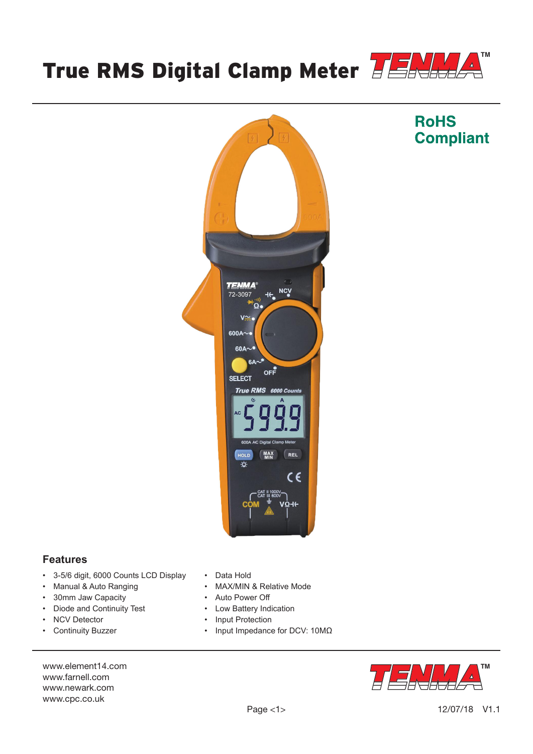



## **Features**

- 3-5/6 digit, 6000 Counts LCD Display
- Manual & Auto Ranging
- 30mm Jaw Capacity
- Diode and Continuity Test
- NCV Detector
- Continuity Buzzer
- Data Hold
- MAX/MIN & Relative Mode
- Auto Power Off
- Low Battery Indication
- Input Protection
- Input Impedance for DCV: 10MΩ





# **RoHS Compliant**